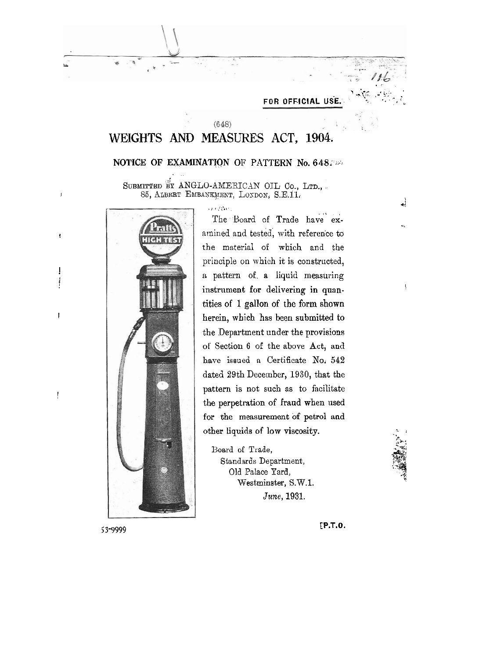FOR OFFICIAL USE.

## $(648)$ WEIGHTS AND MEASURES ACT, 1904.

## NOTICE OF EXAMINATION OF PATTERN No. 648.

SUBMITTED BY ANGLO-AMERICAN OIL Co., LTD., 85, ALBERT EMBANKMENT, LONDON, S.E.11.



 $\mathcal{L}_{\mathcal{F}}$  is  $\mathcal{L}_{\mathcal{F}}^{\mathcal{L}}(\mathcal{E},\mathcal{F})$ The Board of Trade have examined and tested, with reference to the material of which and the principle on which it is constructed, a pattern of a liquid measuring instrument for delivering in quantities of 1 gallon of the form shown herein, which has been submitted to the Department under the provisions of Section 6 of the above Act, and have issued a Certificate No. 542 dated 29th December, 1930, that the pattern is not such as to facilitate the perpetration of fraud when used for the measurement of petrol and other liquids of low viscosity.

Board of Trade, Standards Department, Old Palace Yard, Westminster, S.W.1. June, 1931.

 $[P.T.0.$ 



 $\frac{1}{2}$ 

 $\overline{\mathfrak{t}}$ 

53-9999

 $\bar{J}$ 

 $\mathbf{r}$ 

 $\begin{array}{c} \rule{0pt}{2.5ex} \rule{0pt}{2.5ex} \rule{0pt}{2.5ex} \rule{0pt}{2.5ex} \rule{0pt}{2.5ex} \rule{0pt}{2.5ex} \rule{0pt}{2.5ex} \rule{0pt}{2.5ex} \rule{0pt}{2.5ex} \rule{0pt}{2.5ex} \rule{0pt}{2.5ex} \rule{0pt}{2.5ex} \rule{0pt}{2.5ex} \rule{0pt}{2.5ex} \rule{0pt}{2.5ex} \rule{0pt}{2.5ex} \rule{0pt}{2.5ex} \rule{0pt}{2.5ex} \rule{0pt}{2.5ex} \rule{0$ 

 $\frac{1}{2}$